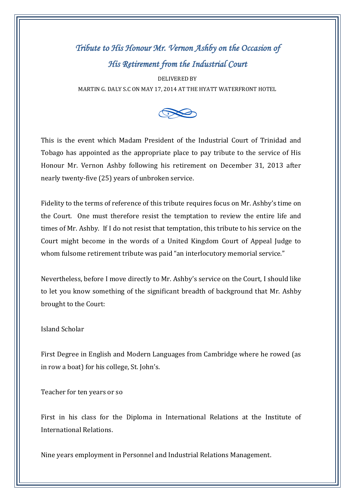## *Tribute to His Honour Mr. Vernon Ashby on the Occasion of His Retirement from the Industrial Court*

DELIVERED BY MARTIN G. DALY S.C ON MAY 17, 2014 AT THE HYATT WATERFRONT HOTEL



This is the event which Madam President of the Industrial Court of Trinidad and Tobago has appointed as the appropriate place to pay tribute to the service of His Honour Mr. Vernon Ashby following his retirement on December 31, 2013 after nearly twenty-five (25) years of unbroken service.

Fidelity to the terms of reference of this tribute requires focus on Mr. Ashby's time on the Court. One must therefore resist the temptation to review the entire life and times of Mr. Ashby. If I do not resist that temptation, this tribute to his service on the Court might become in the words of a United Kingdom Court of Appeal Judge to whom fulsome retirement tribute was paid "an interlocutory memorial service."

Nevertheless, before I move directly to Mr. Ashby's service on the Court, I should like to let you know something of the significant breadth of background that Mr. Ashby brought to the Court:

## Island Scholar

First Degree in English and Modern Languages from Cambridge where he rowed (as in row a boat) for his college, St. John's.

Teacher for ten years or so

First in his class for the Diploma in International Relations at the Institute of International Relations.

Nine years employment in Personnel and Industrial Relations Management.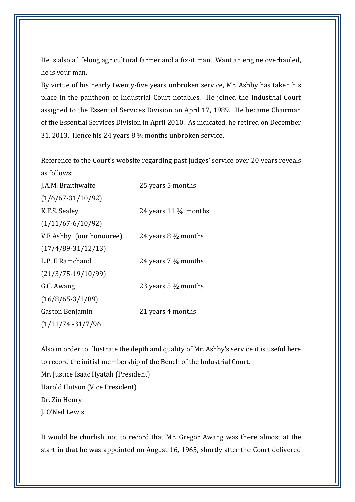He is also a lifelong agricultural farmer and a fix-it man. Want an engine overhauled, he is your man.

By virtue of his nearly twenty-five years unbroken service, Mr. Ashby has taken his place in the pantheon of Industrial Court notables. He joined the Industrial Court assigned to the Essential Services Division on April 17, 1989. He became Chairman of the Essential Services Division in April 2010. As indicated, he retired on December 31, 2013. Hence his 24 years 8 ½ months unbroken service.

Reference to the Court's website regarding past judges' service over 20 years reveals as follows:

J.A.M. Braithwaite 25 years 5 months (1/6/67-31/10/92) K.F.S. Sealey 24 years 11 <sup>1</sup>/<sub>4</sub> months (1/11/67-6/10/92) V.E Ashby (our honouree) 24 years 8 ½ months (17/4/89-31/12/13) L.P. E Ramchand 24 years 7 ¼ months (21/3/75-19/10/99) G.C. Awang 23 years 5 ½ months (16/8/65-3/1/89) Gaston Benjamin 21 years 4 months (1/11/74 -31/7/96

Also in order to illustrate the depth and quality of Mr. Ashby's service it is useful here to record the initial membership of the Bench of the Industrial Court. Mr. Justice Isaac Hyatali (President) Harold Hutson (Vice President) Dr. Zin Henry J. O'Neil Lewis

It would be churlish not to record that Mr. Gregor Awang was there almost at the start in that he was appointed on August 16, 1965, shortly after the Court delivered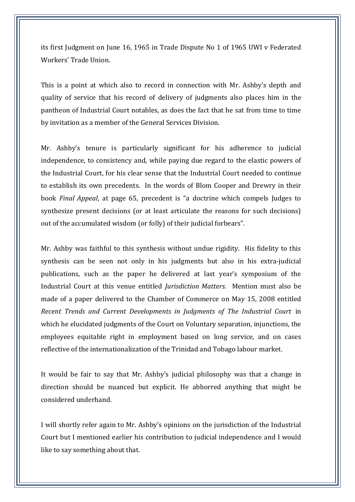its first Judgment on June 16, 1965 in Trade Dispute No 1 of 1965 UWI v Federated Workers' Trade Union.

This is a point at which also to record in connection with Mr. Ashby's depth and quality of service that his record of delivery of judgments also places him in the pantheon of Industrial Court notables, as does the fact that he sat from time to time by invitation as a member of the General Services Division.

Mr. Ashby's tenure is particularly significant for his adherence to judicial independence, to consistency and, while paying due regard to the elastic powers of the Industrial Court, for his clear sense that the Industrial Court needed to continue to establish its own precedents. In the words of Blom Cooper and Drewry in their book *Final Appeal*, at page 65, precedent is "a doctrine which compels Judges to synthesize present decisions (or at least articulate the reasons for such decisions) out of the accumulated wisdom (or folly) of their judicial forbears".

Mr. Ashby was faithful to this synthesis without undue rigidity. His fidelity to this synthesis can be seen not only in his judgments but also in his extra-judicial publications, such as the paper he delivered at last year's symposium of the Industrial Court at this venue entitled *Jurisdiction Matters*. Mention must also be made of a paper delivered to the Chamber of Commerce on May 15, 2008 entitled *Recent Trends and Current Developments in Judgments of The Industrial Court* in which he elucidated judgments of the Court on Voluntary separation, injunctions, the employees equitable right in employment based on long service, and on cases reflective of the internationalization of the Trinidad and Tobago labour market.

It would be fair to say that Mr. Ashby's judicial philosophy was that a change in direction should be nuanced but explicit. He abhorred anything that might be considered underhand.

I will shortly refer again to Mr. Ashby's opinions on the jurisdiction of the Industrial Court but I mentioned earlier his contribution to judicial independence and I would like to say something about that.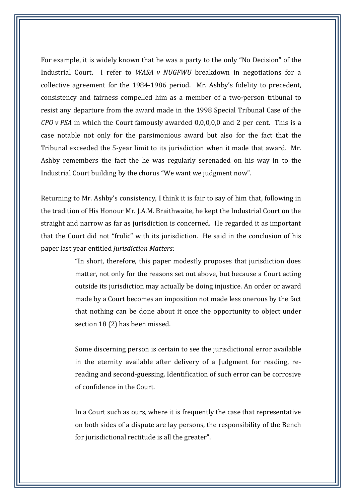For example, it is widely known that he was a party to the only "No Decision" of the Industrial Court. I refer to *WASA v NUGFWU* breakdown in negotiations for a collective agreement for the 1984-1986 period. Mr. Ashby's fidelity to precedent, consistency and fairness compelled him as a member of a two-person tribunal to resist any departure from the award made in the 1998 Special Tribunal Case of the *CPO v PSA* in which the Court famously awarded 0,0,0,0,0 and 2 per cent. This is a case notable not only for the parsimonious award but also for the fact that the Tribunal exceeded the 5-year limit to its jurisdiction when it made that award. Mr. Ashby remembers the fact the he was regularly serenaded on his way in to the Industrial Court building by the chorus "We want we judgment now".

Returning to Mr. Ashby's consistency, I think it is fair to say of him that, following in the tradition of His Honour Mr. J.A.M. Braithwaite, he kept the Industrial Court on the straight and narrow as far as jurisdiction is concerned. He regarded it as important that the Court did not "frolic" with its jurisdiction. He said in the conclusion of his paper last year entitled *Jurisdiction Matters*:

> "In short, therefore, this paper modestly proposes that jurisdiction does matter, not only for the reasons set out above, but because a Court acting outside its jurisdiction may actually be doing injustice. An order or award made by a Court becomes an imposition not made less onerous by the fact that nothing can be done about it once the opportunity to object under section 18 (2) has been missed.

> Some discerning person is certain to see the jurisdictional error available in the eternity available after delivery of a Judgment for reading, rereading and second-guessing. Identification of such error can be corrosive of confidence in the Court.

> In a Court such as ours, where it is frequently the case that representative on both sides of a dispute are lay persons, the responsibility of the Bench for jurisdictional rectitude is all the greater".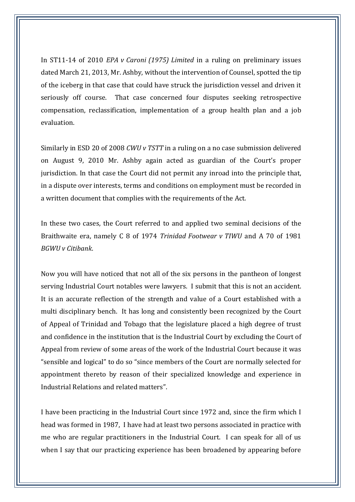In ST11-14 of 2010 *EPA v Caroni (1975) Limited* in a ruling on preliminary issues dated March 21, 2013, Mr. Ashby, without the intervention of Counsel, spotted the tip of the iceberg in that case that could have struck the jurisdiction vessel and driven it seriously off course. That case concerned four disputes seeking retrospective compensation, reclassification, implementation of a group health plan and a job evaluation.

Similarly in ESD 20 of 2008 *CWU v TSTT* in a ruling on a no case submission delivered on August 9, 2010 Mr. Ashby again acted as guardian of the Court's proper jurisdiction. In that case the Court did not permit any inroad into the principle that, in a dispute over interests, terms and conditions on employment must be recorded in a written document that complies with the requirements of the Act.

In these two cases, the Court referred to and applied two seminal decisions of the Braithwaite era, namely C 8 of 1974 *Trinidad Footwear v TIWU* and A 70 of 1981 *BGWU v Citibank*.

Now you will have noticed that not all of the six persons in the pantheon of longest serving Industrial Court notables were lawyers. I submit that this is not an accident. It is an accurate reflection of the strength and value of a Court established with a multi disciplinary bench. It has long and consistently been recognized by the Court of Appeal of Trinidad and Tobago that the legislature placed a high degree of trust and confidence in the institution that is the Industrial Court by excluding the Court of Appeal from review of some areas of the work of the Industrial Court because it was "sensible and logical" to do so "since members of the Court are normally selected for appointment thereto by reason of their specialized knowledge and experience in Industrial Relations and related matters".

I have been practicing in the Industrial Court since 1972 and, since the firm which I head was formed in 1987, I have had at least two persons associated in practice with me who are regular practitioners in the Industrial Court. I can speak for all of us when I say that our practicing experience has been broadened by appearing before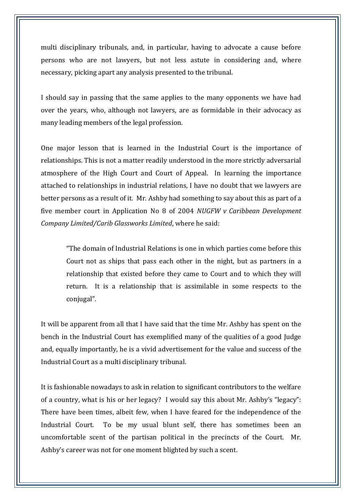multi disciplinary tribunals, and, in particular, having to advocate a cause before persons who are not lawyers, but not less astute in considering and, where necessary, picking apart any analysis presented to the tribunal.

I should say in passing that the same applies to the many opponents we have had over the years, who, although not lawyers, are as formidable in their advocacy as many leading members of the legal profession.

One major lesson that is learned in the Industrial Court is the importance of relationships. This is not a matter readily understood in the more strictly adversarial atmosphere of the High Court and Court of Appeal. In learning the importance attached to relationships in industrial relations, I have no doubt that we lawyers are better persons as a result of it. Mr. Ashby had something to say about this as part of a five member court in Application No 8 of 2004 *NUGFW v Caribbean Development Company Limited/Carib Glassworks Limited*, where he said:

"The domain of Industrial Relations is one in which parties come before this Court not as ships that pass each other in the night, but as partners in a relationship that existed before they came to Court and to which they will return. It is a relationship that is assimilable in some respects to the conjugal".

It will be apparent from all that I have said that the time Mr. Ashby has spent on the bench in the Industrial Court has exemplified many of the qualities of a good Judge and, equally importantly, he is a vivid advertisement for the value and success of the Industrial Court as a multi disciplinary tribunal.

It is fashionable nowadays to ask in relation to significant contributors to the welfare of a country, what is his or her legacy? I would say this about Mr. Ashby's "legacy": There have been times, albeit few, when I have feared for the independence of the Industrial Court. To be my usual blunt self, there has sometimes been an uncomfortable scent of the partisan political in the precincts of the Court. Mr. Ashby's career was not for one moment blighted by such a scent.